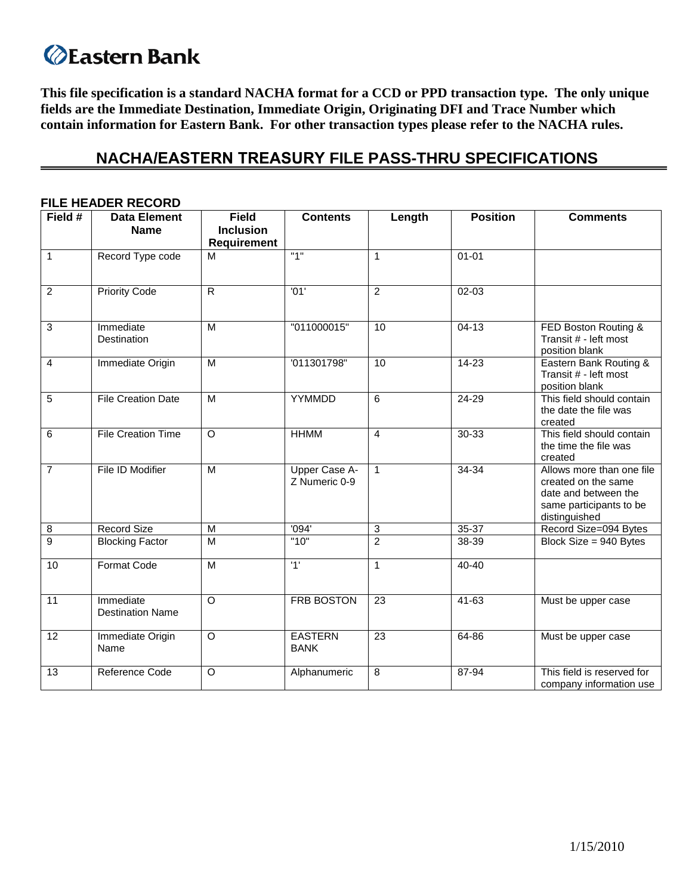# **Eastern Bank**

This file specification is a standard NACHA format for a CCD or PPD transaction type. The only unique **fields are the Immediate Destination, Immediate Origin, Originating DFI and Trace Number which contain information for Eastern Bank. For other transaction types please refer to the NACHA rules.**

# **NACHA/EASTERN TREASURY FILE PASS-THRU SPECIFICATIONS**

| Field #         | <b>Data Element</b>                  | <b>Field</b>                           | <b>Contents</b>                | Length          | <b>Position</b> | <b>Comments</b>                                                                                                      |
|-----------------|--------------------------------------|----------------------------------------|--------------------------------|-----------------|-----------------|----------------------------------------------------------------------------------------------------------------------|
|                 | <b>Name</b>                          | <b>Inclusion</b><br><b>Requirement</b> |                                |                 |                 |                                                                                                                      |
| $\overline{1}$  | Record Type code                     | M                                      | "1"                            | $\mathbf{1}$    | $01 - 01$       |                                                                                                                      |
| $\overline{2}$  | <b>Priority Code</b>                 | $\overline{R}$                         | '01'                           | $\overline{2}$  | 02-03           |                                                                                                                      |
| 3               | Immediate<br>Destination             | M                                      | "011000015"                    | 10              | $04-13$         | FED Boston Routing &<br>Transit # - left most<br>position blank                                                      |
| $\overline{4}$  | Immediate Origin                     | M                                      | '011301798"                    | 10              | $14 - 23$       | Eastern Bank Routing &<br>Transit # - left most<br>position blank                                                    |
| $\overline{5}$  | <b>File Creation Date</b>            | $\overline{M}$                         | YYMMDD                         | 6               | $24 - 29$       | This field should contain<br>the date the file was<br>created                                                        |
| $\overline{6}$  | <b>File Creation Time</b>            | $\circ$                                | <b>HHMM</b>                    | 4               | $30 - 33$       | This field should contain<br>the time the file was<br>created                                                        |
| $\overline{7}$  | File ID Modifier                     | M                                      | Upper Case A-<br>Z Numeric 0-9 | $\mathbf{1}$    | $34 - 34$       | Allows more than one file<br>created on the same<br>date and between the<br>same participants to be<br>distinguished |
| $\overline{8}$  | <b>Record Size</b>                   | M                                      | '094'                          | $\sqrt{3}$      | 35-37           | Record Size=094 Bytes                                                                                                |
| $\overline{9}$  | <b>Blocking Factor</b>               | M                                      | "10"                           | $\overline{2}$  | $38 - 39$       | Block Size = 940 Bytes                                                                                               |
| 10              | <b>Format Code</b>                   | $\overline{M}$                         | '1'                            | $\mathbf{1}$    | $40 - 40$       |                                                                                                                      |
| $\overline{11}$ | Immediate<br><b>Destination Name</b> | $\circ$                                | <b>FRB BOSTON</b>              | $\overline{23}$ | $41 - 63$       | Must be upper case                                                                                                   |
| 12              | Immediate Origin<br>Name             | $\overline{O}$                         | <b>EASTERN</b><br><b>BANK</b>  | $\overline{23}$ | 64-86           | Must be upper case                                                                                                   |
| 13              | Reference Code                       | O                                      | Alphanumeric                   | 8               | 87-94           | This field is reserved for<br>company information use                                                                |

### **FILE HEADER RECORD**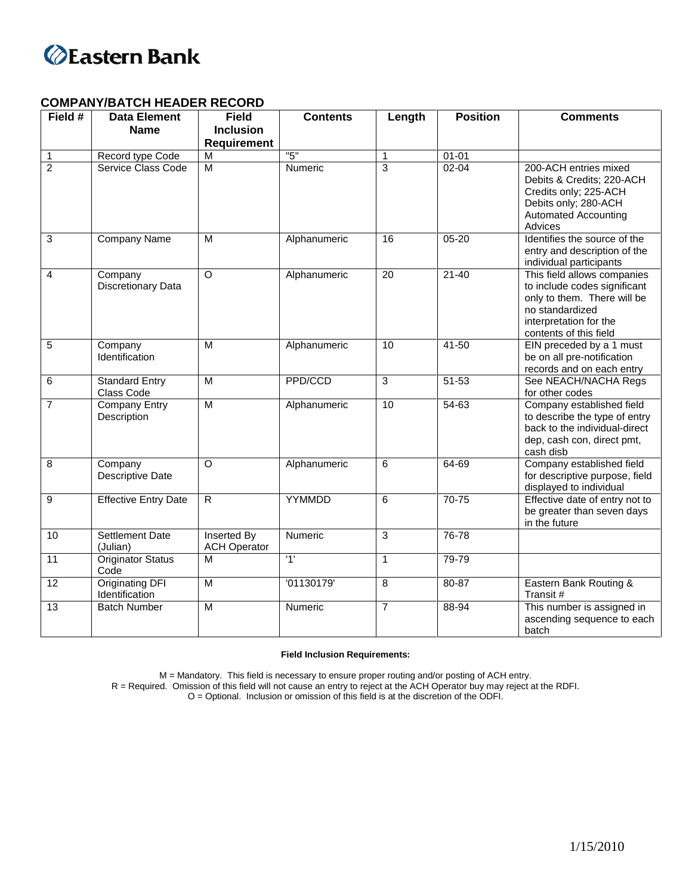

## **COMPANY/BATCH HEADER RECORD**

| Field #         | <b>Data Element</b>                      | <b>Field</b>                              | <b>Contents</b> | Length          | <b>Position</b> | <b>Comments</b>                                                                                                                                                   |
|-----------------|------------------------------------------|-------------------------------------------|-----------------|-----------------|-----------------|-------------------------------------------------------------------------------------------------------------------------------------------------------------------|
|                 | <b>Name</b>                              | <b>Inclusion</b>                          |                 |                 |                 |                                                                                                                                                                   |
|                 |                                          | <b>Requirement</b>                        |                 |                 |                 |                                                                                                                                                                   |
| $\mathbf{1}$    | Record type Code                         | $\overline{M}$                            | "5"             | $\mathbf{1}$    | $01 - 01$       |                                                                                                                                                                   |
| $\overline{2}$  | Service Class Code                       | M                                         | Numeric         | $\overline{3}$  | $02 - 04$       | 200-ACH entries mixed<br>Debits & Credits; 220-ACH<br>Credits only; 225-ACH<br>Debits only; 280-ACH<br><b>Automated Accounting</b><br>Advices                     |
| 3               | Company Name                             | M                                         | Alphanumeric    | 16              | $05 - 20$       | Identifies the source of the<br>entry and description of the<br>individual participants                                                                           |
| $\overline{4}$  | Company<br>Discretionary Data            | $\circ$                                   | Alphanumeric    | $\overline{20}$ | $21 - 40$       | This field allows companies<br>to include codes significant<br>only to them. There will be<br>no standardized<br>interpretation for the<br>contents of this field |
| $\overline{5}$  | Company<br>Identification                | $\overline{M}$                            | Alphanumeric    | 10              | $41 - 50$       | EIN preceded by a 1 must<br>be on all pre-notification<br>records and on each entry                                                                               |
| 6               | <b>Standard Entry</b><br>Class Code      | $\overline{M}$                            | PPD/CCD         | $\overline{3}$  | $51 - 53$       | See NEACH/NACHA Regs<br>for other codes                                                                                                                           |
| $\overline{7}$  | <b>Company Entry</b><br>Description      | M                                         | Alphanumeric    | 10              | $54 - 63$       | Company established field<br>to describe the type of entry<br>back to the individual-direct<br>dep, cash con, direct pmt,<br>cash disb                            |
| 8               | Company<br>Descriptive Date              | $\circ$                                   | Alphanumeric    | 6               | 64-69           | Company established field<br>for descriptive purpose, field<br>displayed to individual                                                                            |
| 9               | <b>Effective Entry Date</b>              | $\overline{R}$                            | YYMMDD          | 6               | $70 - 75$       | Effective date of entry not to<br>be greater than seven days<br>in the future                                                                                     |
| 10              | <b>Settlement Date</b><br>(Julian)       | <b>Inserted By</b><br><b>ACH Operator</b> | Numeric         | 3               | 76-78           |                                                                                                                                                                   |
| $\overline{11}$ | <b>Originator Status</b><br>Code         | M                                         | '1'             | $\mathbf{1}$    | 79-79           |                                                                                                                                                                   |
| 12              | <b>Originating DFI</b><br>Identification | $\overline{M}$                            | '01130179'      | 8               | 80-87           | Eastern Bank Routing &<br>Transit#                                                                                                                                |
| $\overline{13}$ | <b>Batch Number</b>                      | $\overline{M}$                            | Numeric         | $\overline{7}$  | 88-94           | This number is assigned in<br>ascending sequence to each<br>batch                                                                                                 |

#### **Field Inclusion Requirements:**

M = Mandatory. This field is necessary to ensure proper routing and/or posting of ACH entry.

R = Required. Omission of this field will not cause an entry to reject at the ACH Operator buy may reject at the RDFI.

O = Optional. Inclusion or omission of this field is at the discretion of the ODFI.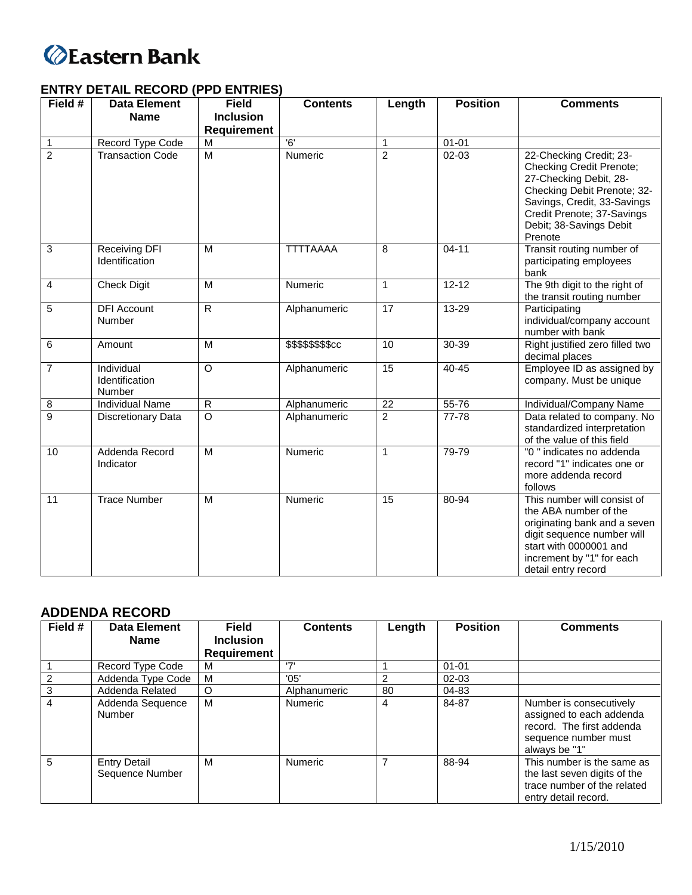

# **ENTRY DETAIL RECORD (PPD ENTRIES)**

| Field #        | <b>Data Element</b>                    | <b>Field</b>       | <b>Contents</b>    | Length         | <b>Position</b> | <b>Comments</b>                                                                                                                                                                                                 |
|----------------|----------------------------------------|--------------------|--------------------|----------------|-----------------|-----------------------------------------------------------------------------------------------------------------------------------------------------------------------------------------------------------------|
|                | <b>Name</b>                            | <b>Inclusion</b>   |                    |                |                 |                                                                                                                                                                                                                 |
|                |                                        | <b>Requirement</b> |                    |                |                 |                                                                                                                                                                                                                 |
| $\mathbf{1}$   | Record Type Code                       | M                  | 6'                 | 1              | $01 - 01$       |                                                                                                                                                                                                                 |
| $\overline{2}$ | <b>Transaction Code</b>                | $\overline{M}$     | Numeric            | $\overline{2}$ | $02 - 03$       | 22-Checking Credit; 23-<br>Checking Credit Prenote;<br>27-Checking Debit, 28-<br>Checking Debit Prenote; 32-<br>Savings, Credit, 33-Savings<br>Credit Prenote; 37-Savings<br>Debit; 38-Savings Debit<br>Prenote |
| 3              | <b>Receiving DFI</b><br>Identification | M                  | <b>TTTTAAAA</b>    | 8              | $04 - 11$       | Transit routing number of<br>participating employees<br>bank                                                                                                                                                    |
| 4              | <b>Check Digit</b>                     | M                  | Numeric            | $\mathbf{1}$   | $12 - 12$       | The 9th digit to the right of<br>the transit routing number                                                                                                                                                     |
| 5              | <b>DFI</b> Account<br>Number           | $\overline{R}$     | Alphanumeric       | 17             | 13-29           | Participating<br>individual/company account<br>number with bank                                                                                                                                                 |
| 6              | Amount                                 | M                  | \$\$\$\$\$\$\$\$cc | 10             | $30 - 39$       | Right justified zero filled two<br>decimal places                                                                                                                                                               |
| $\overline{7}$ | Individual<br>Identification<br>Number | $\circ$            | Alphanumeric       | 15             | $40 - 45$       | Employee ID as assigned by<br>company. Must be unique                                                                                                                                                           |
| 8              | <b>Individual Name</b>                 | $\overline{R}$     | Alphanumeric       | 22             | 55-76           | Individual/Company Name                                                                                                                                                                                         |
| 9              | <b>Discretionary Data</b>              | $\overline{\circ}$ | Alphanumeric       | $\overline{2}$ | 77-78           | Data related to company. No<br>standardized interpretation<br>of the value of this field                                                                                                                        |
| 10             | Addenda Record<br>Indicator            | $\overline{M}$     | Numeric            | $\mathbf{1}$   | 79-79           | "0" indicates no addenda<br>record "1" indicates one or<br>more addenda record<br>follows                                                                                                                       |
| 11             | <b>Trace Number</b>                    | M                  | Numeric            | 15             | 80-94           | This number will consist of<br>the ABA number of the<br>originating bank and a seven<br>digit sequence number will<br>start with 0000001 and<br>increment by "1" for each<br>detail entry record                |

# **ADDENDA RECORD**

| Field # | <b>Data Element</b>                    | <b>Field</b>       | <b>Contents</b> | Length | <b>Position</b> | <b>Comments</b>                                                                                                           |
|---------|----------------------------------------|--------------------|-----------------|--------|-----------------|---------------------------------------------------------------------------------------------------------------------------|
|         | <b>Name</b>                            | <b>Inclusion</b>   |                 |        |                 |                                                                                                                           |
|         |                                        | <b>Requirement</b> |                 |        |                 |                                                                                                                           |
|         | Record Type Code                       | м                  | ידי             |        | $01 - 01$       |                                                                                                                           |
|         | Addenda Type Code                      | M                  | '05'            | 2      | $02 - 03$       |                                                                                                                           |
| 3       | Addenda Related                        | O                  | Alphanumeric    | 80     | 04-83           |                                                                                                                           |
| 4       | Addenda Sequence<br>Number             | м                  | <b>Numeric</b>  | 4      | 84-87           | Number is consecutively<br>assigned to each addenda<br>record. The first addenda<br>sequence number must<br>always be "1" |
| 5       | <b>Entry Detail</b><br>Sequence Number | M                  | <b>Numeric</b>  |        | 88-94           | This number is the same as<br>the last seven digits of the<br>trace number of the related<br>entry detail record.         |